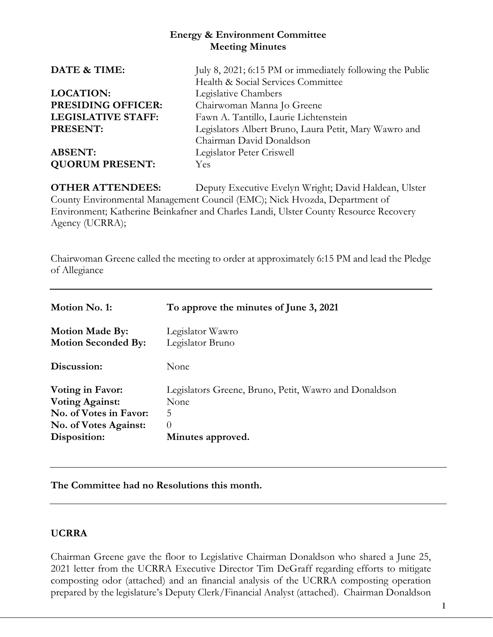### **Energy & Environment Committee Meeting Minutes**

| DATE & TIME:              | July 8, 2021; 6:15 PM or immediately following the Public |  |
|---------------------------|-----------------------------------------------------------|--|
|                           | Health & Social Services Committee                        |  |
| <b>LOCATION:</b>          | Legislative Chambers                                      |  |
| <b>PRESIDING OFFICER:</b> | Chairwoman Manna Jo Greene                                |  |
| <b>LEGISLATIVE STAFF:</b> | Fawn A. Tantillo, Laurie Lichtenstein                     |  |
| PRESENT:                  | Legislators Albert Bruno, Laura Petit, Mary Wawro and     |  |
|                           | Chairman David Donaldson                                  |  |
| <b>ABSENT:</b>            | Legislator Peter Criswell                                 |  |
| <b>QUORUM PRESENT:</b>    | <b>Yes</b>                                                |  |
|                           |                                                           |  |

**OTHER ATTENDEES:** Deputy Executive Evelyn Wright; David Haldean, Ulster County Environmental Management Council (EMC); Nick Hvozda, Department of Environment; Katherine Beinkafner and Charles Landi, Ulster County Resource Recovery Agency (UCRRA);

Chairwoman Greene called the meeting to order at approximately 6:15 PM and lead the Pledge of Allegiance

| Motion No. 1:              | To approve the minutes of June 3, 2021                |
|----------------------------|-------------------------------------------------------|
| <b>Motion Made By:</b>     | Legislator Wawro                                      |
| <b>Motion Seconded By:</b> | Legislator Bruno                                      |
| Discussion:                | None                                                  |
| <b>Voting in Favor:</b>    | Legislators Greene, Bruno, Petit, Wawro and Donaldson |
| <b>Voting Against:</b>     | None                                                  |
| No. of Votes in Favor:     | 5                                                     |
| No. of Votes Against:      | $\Omega$                                              |
| Disposition:               | Minutes approved.                                     |

**The Committee had no Resolutions this month.**

# **UCRRA**

Chairman Greene gave the floor to Legislative Chairman Donaldson who shared a June 25, 2021 letter from the UCRRA Executive Director Tim DeGraff regarding efforts to mitigate composting odor (attached) and an financial analysis of the UCRRA composting operation prepared by the legislature's Deputy Clerk/Financial Analyst (attached). Chairman Donaldson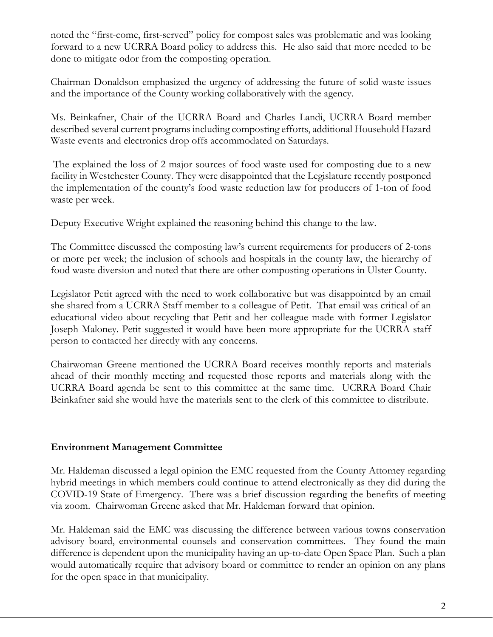noted the "first-come, first-served" policy for compost sales was problematic and was looking forward to a new UCRRA Board policy to address this. He also said that more needed to be done to mitigate odor from the composting operation.

Chairman Donaldson emphasized the urgency of addressing the future of solid waste issues and the importance of the County working collaboratively with the agency.

Ms. Beinkafner, Chair of the UCRRA Board and Charles Landi, UCRRA Board member described several current programs including composting efforts, additional Household Hazard Waste events and electronics drop offs accommodated on Saturdays.

The explained the loss of 2 major sources of food waste used for composting due to a new facility in Westchester County. They were disappointed that the Legislature recently postponed the implementation of the county's food waste reduction law for producers of 1-ton of food waste per week.

Deputy Executive Wright explained the reasoning behind this change to the law.

The Committee discussed the composting law's current requirements for producers of 2-tons or more per week; the inclusion of schools and hospitals in the county law, the hierarchy of food waste diversion and noted that there are other composting operations in Ulster County.

Legislator Petit agreed with the need to work collaborative but was disappointed by an email she shared from a UCRRA Staff member to a colleague of Petit. That email was critical of an educational video about recycling that Petit and her colleague made with former Legislator Joseph Maloney. Petit suggested it would have been more appropriate for the UCRRA staff person to contacted her directly with any concerns.

Chairwoman Greene mentioned the UCRRA Board receives monthly reports and materials ahead of their monthly meeting and requested those reports and materials along with the UCRRA Board agenda be sent to this committee at the same time. UCRRA Board Chair Beinkafner said she would have the materials sent to the clerk of this committee to distribute.

# **Environment Management Committee**

Mr. Haldeman discussed a legal opinion the EMC requested from the County Attorney regarding hybrid meetings in which members could continue to attend electronically as they did during the COVID-19 State of Emergency. There was a brief discussion regarding the benefits of meeting via zoom. Chairwoman Greene asked that Mr. Haldeman forward that opinion.

Mr. Haldeman said the EMC was discussing the difference between various towns conservation advisory board, environmental counsels and conservation committees. They found the main difference is dependent upon the municipality having an up-to-date Open Space Plan. Such a plan would automatically require that advisory board or committee to render an opinion on any plans for the open space in that municipality.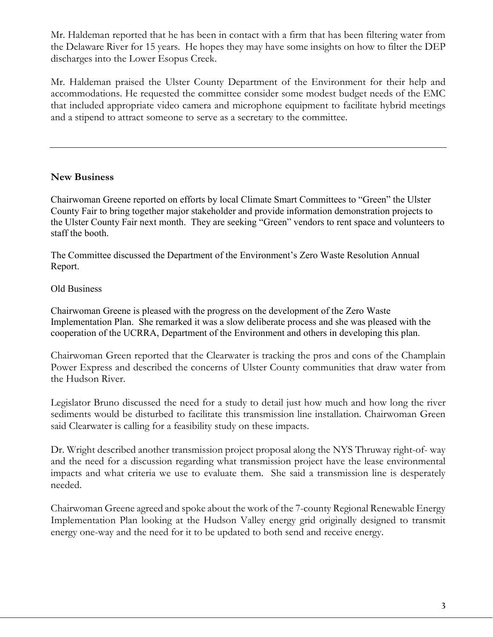Mr. Haldeman reported that he has been in contact with a firm that has been filtering water from the Delaware River for 15 years. He hopes they may have some insights on how to filter the DEP discharges into the Lower Esopus Creek.

Mr. Haldeman praised the Ulster County Department of the Environment for their help and accommodations. He requested the committee consider some modest budget needs of the EMC that included appropriate video camera and microphone equipment to facilitate hybrid meetings and a stipend to attract someone to serve as a secretary to the committee.

### **New Business**

Chairwoman Greene reported on efforts by local Climate Smart Committees to "Green" the Ulster County Fair to bring together major stakeholder and provide information demonstration projects to the Ulster County Fair next month. They are seeking "Green" vendors to rent space and volunteers to staff the booth.

The Committee discussed the Department of the Environment's Zero Waste Resolution Annual Report.

#### Old Business

Chairwoman Greene is pleased with the progress on the development of the Zero Waste Implementation Plan. She remarked it was a slow deliberate process and she was pleased with the cooperation of the UCRRA, Department of the Environment and others in developing this plan.

Chairwoman Green reported that the Clearwater is tracking the pros and cons of the Champlain Power Express and described the concerns of Ulster County communities that draw water from the Hudson River.

Legislator Bruno discussed the need for a study to detail just how much and how long the river sediments would be disturbed to facilitate this transmission line installation. Chairwoman Green said Clearwater is calling for a feasibility study on these impacts.

Dr. Wright described another transmission project proposal along the NYS Thruway right-of- way and the need for a discussion regarding what transmission project have the lease environmental impacts and what criteria we use to evaluate them. She said a transmission line is desperately needed.

Chairwoman Greene agreed and spoke about the work of the 7-county Regional Renewable Energy Implementation Plan looking at the Hudson Valley energy grid originally designed to transmit energy one-way and the need for it to be updated to both send and receive energy.